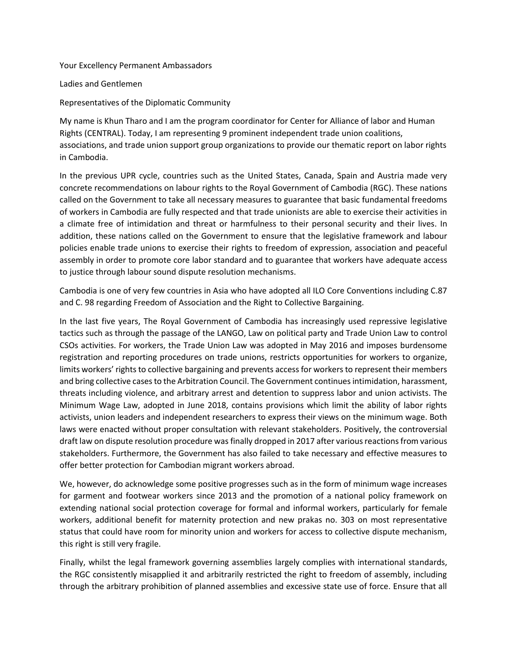Your Excellency Permanent Ambassadors

Ladies and Gentlemen

Representatives of the Diplomatic Community

My name is Khun Tharo and I am the program coordinator for Center for Alliance of labor and Human Rights (CENTRAL). Today, I am representing 9 prominent independent trade union coalitions, associations, and trade union support group organizations to provide our thematic report on labor rights in Cambodia.

In the previous UPR cycle, countries such as the United States, Canada, Spain and Austria made very concrete recommendations on labour rights to the Royal Government of Cambodia (RGC). These nations called on the Government to take all necessary measures to guarantee that basic fundamental freedoms of workers in Cambodia are fully respected and that trade unionists are able to exercise their activities in a climate free of intimidation and threat or harmfulness to their personal security and their lives. In addition, these nations called on the Government to ensure that the legislative framework and labour policies enable trade unions to exercise their rights to freedom of expression, association and peaceful assembly in order to promote core labor standard and to guarantee that workers have adequate access to justice through labour sound dispute resolution mechanisms.

Cambodia is one of very few countries in Asia who have adopted all ILO Core Conventions including C.87 and C. 98 regarding Freedom of Association and the Right to Collective Bargaining.

In the last five years, The Royal Government of Cambodia has increasingly used repressive legislative tactics such as through the passage of the LANGO, Law on political party and Trade Union Law to control CSOs activities. For workers, the Trade Union Law was adopted in May 2016 and imposes burdensome registration and reporting procedures on trade unions, restricts opportunities for workers to organize, limits workers' rights to collective bargaining and prevents access for workers to represent their members and bring collective cases to the Arbitration Council. The Government continues intimidation, harassment, threats including violence, and arbitrary arrest and detention to suppress labor and union activists. The Minimum Wage Law, adopted in June 2018, contains provisions which limit the ability of labor rights activists, union leaders and independent researchers to express their views on the minimum wage. Both laws were enacted without proper consultation with relevant stakeholders. Positively, the controversial draft law on dispute resolution procedure was finally dropped in 2017 after various reactions from various stakeholders. Furthermore, the Government has also failed to take necessary and effective measures to offer better protection for Cambodian migrant workers abroad.

We, however, do acknowledge some positive progresses such as in the form of minimum wage increases for garment and footwear workers since 2013 and the promotion of a national policy framework on extending national social protection coverage for formal and informal workers, particularly for female workers, additional benefit for maternity protection and new prakas no. 303 on most representative status that could have room for minority union and workers for access to collective dispute mechanism, this right is still very fragile.

Finally, whilst the legal framework governing assemblies largely complies with international standards, the RGC consistently misapplied it and arbitrarily restricted the right to freedom of assembly, including through the arbitrary prohibition of planned assemblies and excessive state use of force. Ensure that all